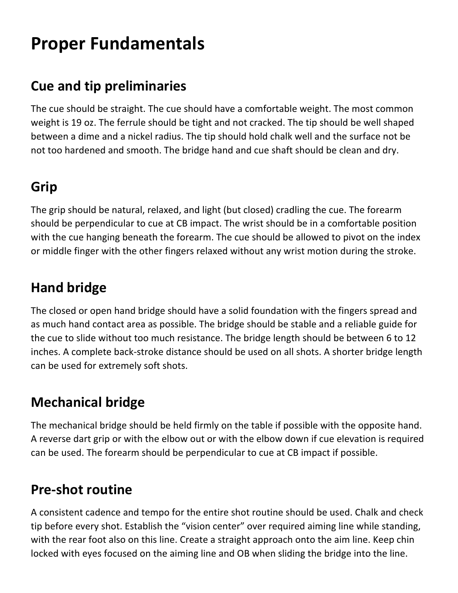# **Proper Fundamentals**

#### **Cue and tip preliminaries**

The cue should be straight. The cue should have a comfortable weight. The most common weight is 19 oz. The ferrule should be tight and not cracked. The tip should be well shaped between a dime and a nickel radius. The tip should hold chalk well and the surface not be not too hardened and smooth. The bridge hand and cue shaft should be clean and dry.

## **Grip**

The grip should be natural, relaxed, and light (but closed) cradling the cue. The forearm should be perpendicular to cue at CB impact. The wrist should be in a comfortable position with the cue hanging beneath the forearm. The cue should be allowed to pivot on the index or middle finger with the other fingers relaxed without any wrist motion during the stroke.

### **Hand bridge**

The closed or open hand bridge should have a solid foundation with the fingers spread and as much hand contact area as possible. The bridge should be stable and a reliable guide for the cue to slide without too much resistance. The bridge length should be between 6 to 12 inches. A complete back-stroke distance should be used on all shots. A shorter bridge length can be used for extremely soft shots.

#### **Mechanical bridge**

The mechanical bridge should be held firmly on the table if possible with the opposite hand. A reverse dart grip or with the elbow out or with the elbow down if cue elevation is required can be used. The forearm should be perpendicular to cue at CB impact if possible.

#### **Pre-shot routine**

A consistent cadence and tempo for the entire shot routine should be used. Chalk and check tip before every shot. Establish the "vision center" over required aiming line while standing, with the rear foot also on this line. Create a straight approach onto the aim line. Keep chin locked with eyes focused on the aiming line and OB when sliding the bridge into the line.